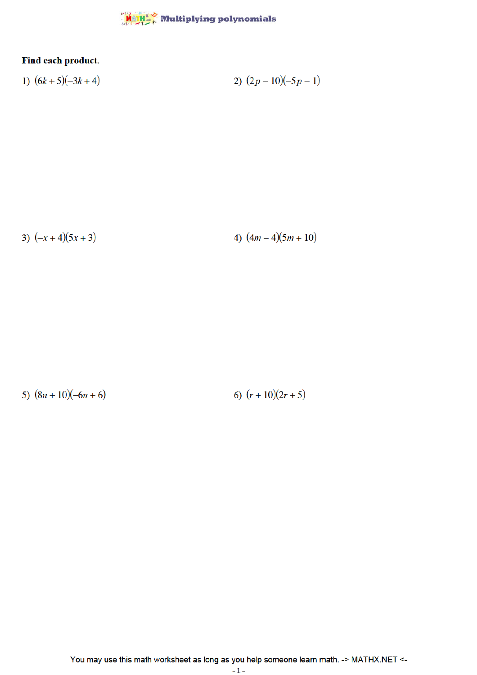

## Find each product.

1) 
$$
(6k+5)(-3k+4)
$$
  
2)  $(2p-10)(-5p-1)$ 

3)  $(-x+4)(5x+3)$ 

4)  $(4m-4)(5m+10)$ 

5)  $(8n+10)(-6n+6)$ 

6)  $(r+10)(2r+5)$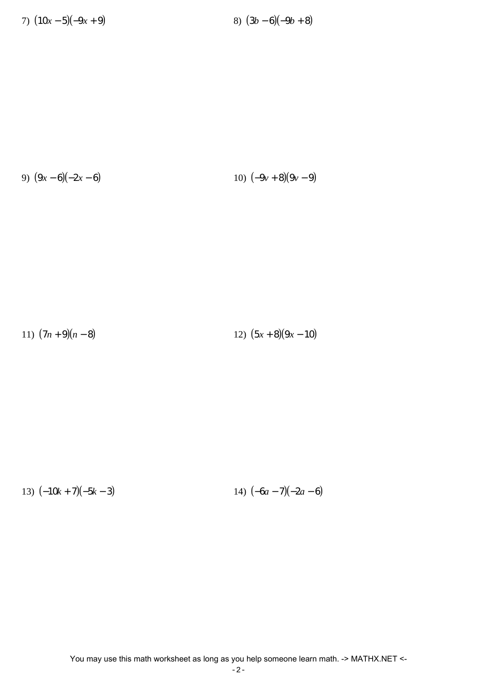7)  $(10x-5)(-9x+9)$  8)  $(3b-6)(-9b+8)$ 

9) 
$$
(9x-6)(-2x-6)
$$
  
10)  $(-9y+8)(9y-9)$ 

11)  $(7n+9)(n-8)$  12)  $(5x+8)(9x-10)$ 

13)  $(-10k + 7)(-5k - 3)$  14)  $(-6a - 7)(-2a - 6)$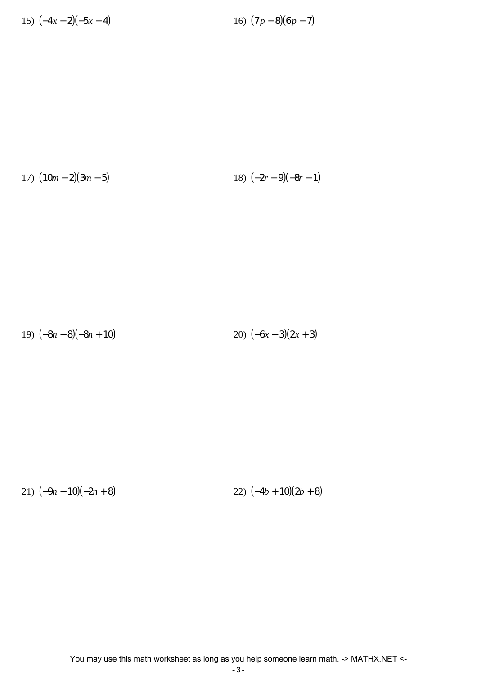15)  $(-4x-2)(-5x-4)$  16)  $(7p-8)(6p-7)$ 

17)  $(10m-2)(3m-5)$  18)  $(-2r-9)(-8r-1)$ 

19)  $(-8n-8)(-8n+10)$  20)  $(-6x-3)(2x+3)$ 

21)  $(-9n - 10)(-2n + 8)$  22)  $(-4b + 10)(2b + 8)$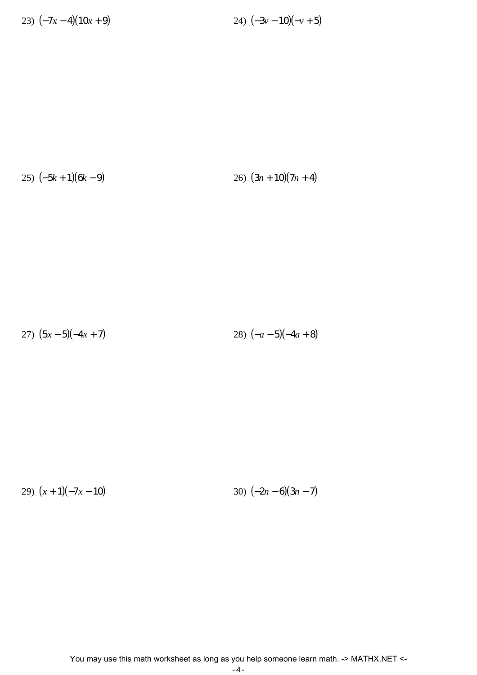23)  $(-7x-4)(10x+9)$  24)  $(-3y-10)(-y+5)$ 

25)  $(-5k+1)(6k-9)$  26)  $(3n+10)(7n+4)$ 

27)  $(5x-5)(-4x+7)$  28)  $(-a-5)(-4a+8)$ 

29)  $(x+1)(-7x-10)$  30)  $(-2n-6)(3n-7)$